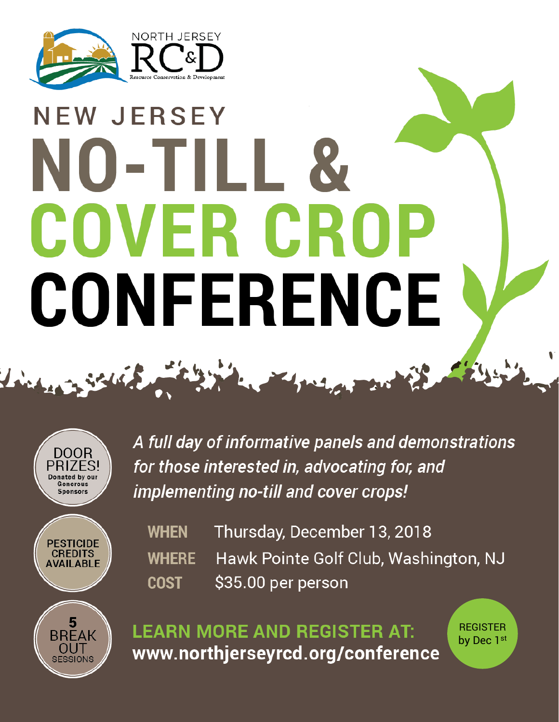

## **NEW JERSEY** NO-TILL COVER CRO CONFERENCE

2 Solis 2 miles in the the first of



A full day of informative panels and demonstrations for those interested in, advocating for, and implementing no-till and cover crops!



OUT

**SESSIONS** 

Thursday, December 13, 2018 **WHEN** Hawk Pointe Golf Club, Washington, NJ **WHERE** \$35.00 per person **COST** 

**LEARN MORE AND REGISTER AT:** www.northjerseyrcd.org/conference **REGISTER** by Dec 1st